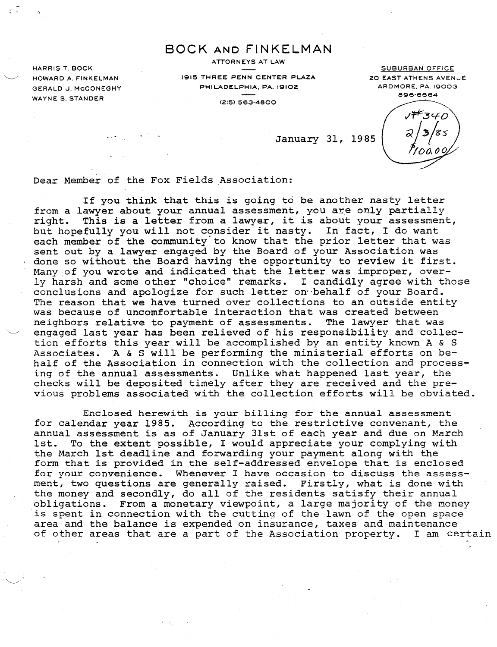## BOCK **AND** FINKELMAN

ATTORNEYS AT LAW

HARRIS T. BOCK HOWARD A. FINKELMAN GERALD J. McCONEGHY WAYNE S. STANDER

1915 THREE PENN CENTER PLAZA PHILADELPHIA, PA. 19102

(215) 563.4800

SUBURBAN OFFICE 20 EAST ATHENS AVENUE ARDMORE, PA. 19003 896-6664

January 31, 1985

マヒン

Dear Member of the Fox Fields Association:

If you think that this is going to be another nasty letter from a lawyer about your annual assessment, you are only partially right. This is a letter from a lawyer, it is about your assessment, but hopefully you will not consider it nasty. In fact, I do want each member of the community to know that the prior letter that was sent out by a lawyer engaged by the Board of your Association was done so without the Board having the opportunity to review it first. Many of you wrote and indicated that the letter was improper, overly harsh and some other "choice" remarks. I candidly agree with those conclusions and apologize for such letter on-behalf of your Board. The reason that we have turned over collections to an outside entity was because of uncomfortable interaction that was created between neighbors relative to payment of assessments. The lawyer that was engaged last year has been relieved of his responsibility and collection efforts this year will be accomplished by an entity known A & S Associates. 'A & S will be performing the ministerial efforts on behalf of the Association in connection with the collection and processing of the annual assessments. Unlike what happened last year, the checks will be deposited timely after they are received and the previous problems associated with the collection efforts will be obviated.

Enclosed herewith is your billing for the annual assessment for calendar year 1985. According to the restrictive convenant, the annual assessment is as of January 31st of each year and due on March 1st. To the extent possible, I would appreciate your complying with the March 1st deadline and forwarding your payment along with the form that is provided in the self-addressed envelope that is enclosed for your convenience. Whenever I have occasion to discuss the assessment, two questions are generally raised. Firstly, what is done with the money and secondly, do all of the residents satisfy their annual obligations. From a monetary viewpoint, a large majority of the money is spent in connection with the cutting of the lawn of the open space area and the balance is expended on insurance, taxes and maintenance of other areas that are a part of the Association property. I am certain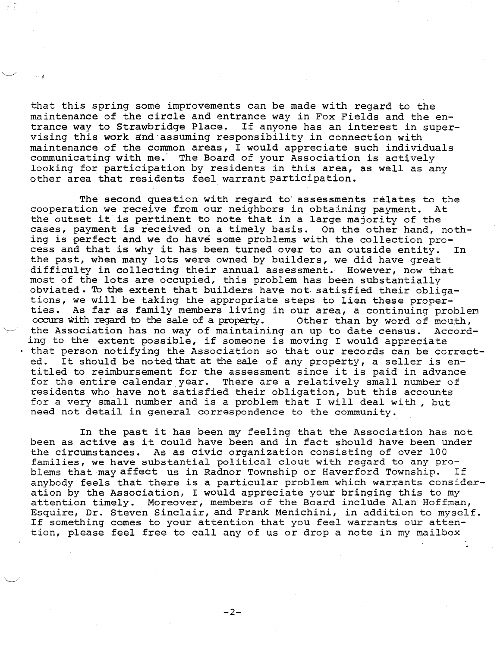that this spring some improvements can be made with regard to the maintenance of the circle and entrance way in Fox Fields and the entrance way to Strawbridge Place. If anyone has an interest in supervising this work and assuming responsibility in connection with maintenance of the common areas, I would appreciate such individuals communicating' with me.' The Board of your Association is actively looking for participation by residents in this area, as well as any other area that residents feel warrant participation.

 $-10.4$ 

The second question with regard to assessments relates to the<br>ion we receive from our neighbors in obtaining payment. At cooperation we receive from our neighbors in obtaining payment. the outset it is pertinent to note that in a large majority of the cases, payment is received on a timely basis. On the other hand, nothing is-perfect and we do have some problems with the collection process and that is why it has been turned over to an outside entity. In the past, when many lots were owned by builders, we did have great difficulty in collecting their annual assessment. However, now that most of the lots are occupied, this problem has been substantially obviated. To the extent that builders have not satisfied their obligations, we will be taking the appropriate steps to lien these properties. As far as family members living in our area, a continuing problem<br>occurs with regard to the sale of a property. Other than by word of mouth, occurs with regard to the sale of a property. the Association has no way of maintaining an up to date census. According to the extent possible, if someone is moving I would appreciate • that person notifying the Association so that our records can be correct-<br>ed. It should be noted that at the sale of any property, a seller is en-It should be noted that at the sale of any property, a seller is entitled to reimbursement for the assessment since it is paid in advance for the entire calendar year. There are a relatively small number of residents who have not satisfied their obligation, but this accounts for a very small number and is a problem that I will deal with , but need not detail in general correspondence to the community.

In the past it has been my feeling that the Association has not been as active as it could have been and in fact should have been under the circumstances. As as civic organization consisting of over 100 families, we have substantial political clout with regard to any pro-<br>blems that may affect us in Radnor Township or Haverford Township. If blems that may affect us in Radnor Township or Haverford Township. anybody feels that there is a particular problem which warrants consideration by the Association, I would appreciate your bringing this to my attention timely. Moreover, members of the Board include Alan Hoffman, Esquire, Dr. Steven Sinclair, and Frank Menichini, in addition to myself. If something comes to your attention that you feel warrants our attention, please feel free to call any of us or drop a note in my mailbox

 $-2-$